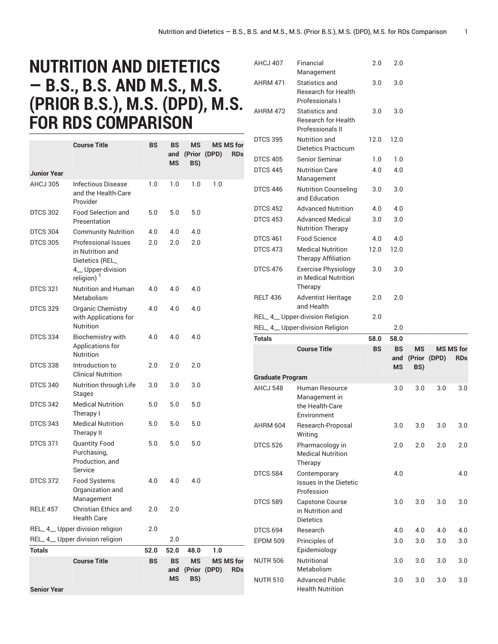## **NUTRITION AND DIETETICS — B.S., B.S. AND M.S., M.S. (PRIOR B.S.), M.S. (DPD), M.S. FOR RDS COMPARISON**

|                    | <b>Course Title</b>                                                                                             | BS   | BS<br>and<br><b>MS</b> | ΜS<br>BS) | <b>MS MS for</b><br>(Prior (DPD) | <b>RDs</b> |
|--------------------|-----------------------------------------------------------------------------------------------------------------|------|------------------------|-----------|----------------------------------|------------|
| Junior Year        |                                                                                                                 |      |                        |           |                                  |            |
| AHCJ 305           | Infectious Disease<br>and the Health-Care<br>Provider                                                           | 1.0  | 1.0                    | 1.0       | 1.0                              |            |
| <b>DTCS 302</b>    | <b>Food Selection and</b><br>Presentation                                                                       | 5.0  | 5.0                    | 5.0       |                                  |            |
| <b>DTCS 304</b>    | <b>Community Nutrition</b>                                                                                      | 4.0  | 4.0                    | 4.0       |                                  |            |
| <b>DTCS 305</b>    | <b>Professional Issues</b><br>in Nutrition and<br>Dietetics (REL_<br>4_Upper-division<br>religion) <sup>1</sup> | 2.0  | 2.0                    | 2.0       |                                  |            |
| <b>DTCS 321</b>    | <b>Nutrition and Human</b><br>Metabolism                                                                        | 4.0  | 4.0                    | 4.0       |                                  |            |
| <b>DTCS 329</b>    | Organic Chemistry<br>with Applications for<br>Nutrition                                                         | 4.0  | 4.0                    | 4.0       |                                  |            |
| <b>DTCS 334</b>    | <b>Biochemistry with</b><br>Applications for<br><b>Nutrition</b>                                                | 4.0  | 4.0                    | 4.0       |                                  |            |
| <b>DTCS 338</b>    | Introduction to<br><b>Clinical Nutrition</b>                                                                    | 2.0  | 2.0                    | 2.0       |                                  |            |
| <b>DTCS 340</b>    | Nutrition through Life<br><b>Stages</b>                                                                         | 3.0  | 3.0                    | 3.0       |                                  |            |
| <b>DTCS 342</b>    | <b>Medical Nutrition</b><br>Therapy I                                                                           | 5.0  | 5.0                    | 5.0       |                                  |            |
| <b>DTCS 343</b>    | <b>Medical Nutrition</b><br>Therapy II                                                                          | 5.0  | 5.0                    | 5.0       |                                  |            |
| <b>DTCS 371</b>    | <b>Quantity Food</b><br>Purchasing,<br>Production, and<br>Service                                               | 5.0  | 5.0                    | 5.0       |                                  |            |
| <b>DTCS 372</b>    | Food Systems<br>Organization and<br>Management                                                                  | 4.0  | 4.0                    | 4.0       |                                  |            |
| <b>RELE 457</b>    | Christian Ethics and<br>Health Care                                                                             | 2.0  | 2.0                    |           |                                  |            |
|                    | REL_4_Upper division religion                                                                                   | 2.0  |                        |           |                                  |            |
|                    | REL_4_Upper division religion                                                                                   |      | 2.0                    |           |                                  |            |
| <b>Totals</b>      |                                                                                                                 | 52.0 | 52.0                   | 48.0      | 1.0                              |            |
|                    | <b>Course Title</b>                                                                                             | BS   | <b>BS</b><br>and<br>MS | MS<br>BS) | <b>MS MS for</b><br>(Prior (DPD) | <b>RDs</b> |
| <b>Senior Year</b> |                                                                                                                 |      |                        |           |                                  |            |

| AHCJ 407                | Financial<br>Management                                           | 2.0  | 2.0              |           |              |                  |
|-------------------------|-------------------------------------------------------------------|------|------------------|-----------|--------------|------------------|
| <b>AHRM 471</b>         | Statistics and<br><b>Research for Health</b><br>Professionals I   | 3.0  | 3.0              |           |              |                  |
| <b>AHRM 472</b>         | Statistics and<br><b>Research for Health</b><br>Professionals II  | 3.0  | 3.0              |           |              |                  |
| <b>DTCS 395</b>         | <b>Nutrition</b> and<br>Dietetics Practicum                       | 12.0 | 12.0             |           |              |                  |
| <b>DTCS 405</b>         | Senior Seminar                                                    | 1.0  | 1.0              |           |              |                  |
| <b>DTCS 445</b>         | <b>Nutrition Care</b><br>Management                               | 4.0  | 4.0              |           |              |                  |
| <b>DTCS 446</b>         | <b>Nutrition Counseling</b><br>and Education                      | 3.0  | 3.0              |           |              |                  |
| <b>DTCS 452</b>         | <b>Advanced Nutrition</b>                                         | 4.0  | 4.0              |           |              |                  |
| <b>DTCS 453</b>         | <b>Advanced Medical</b><br><b>Nutrition Therapy</b>               | 3.0  | 3.0              |           |              |                  |
| <b>DTCS 461</b>         | <b>Food Science</b>                                               | 4.0  | 4.0              |           |              |                  |
| <b>DTCS 473</b>         | <b>Medical Nutrition</b><br><b>Therapy Affiliation</b>            | 12.0 | 12.0             |           |              |                  |
| <b>DTCS 476</b>         | <b>Exercise Physiology</b><br>in Medical Nutrition                | 3.0  | 3.0              |           |              |                  |
| <b>RELT 436</b>         | Therapy<br>Adventist Heritage                                     | 2.0  | 2.0              |           |              |                  |
|                         | and Health                                                        |      |                  |           |              |                  |
|                         | REL_4_Upper-division Religion                                     | 2.0  |                  |           |              |                  |
|                         |                                                                   |      |                  |           |              |                  |
|                         | REL_4_Upper-division Religion                                     |      | 2.0              |           |              |                  |
| <b>Totals</b>           |                                                                   | 58.0 | 58.0             |           |              |                  |
|                         | <b>Course Title</b>                                               | BS   | BS               | <b>MS</b> |              | <b>MS MS for</b> |
|                         |                                                                   |      | and<br><b>MS</b> |           | (Prior (DPD) | <b>RDs</b>       |
| <b>Graduate Program</b> |                                                                   |      |                  | BS)       |              |                  |
| AHCJ 548                | Human Resource<br>Management in<br>the Health-Care<br>Environment |      | 3.0              | 3.0       | 3.0          | 3.0              |
| AHRM 604                | Research-Proposal<br>Writing                                      |      | 3.0              | 3.0       | 3.0          | 3.0              |
| <b>DTCS 526</b>         | Pharmacology in<br><b>Medical Nutrition</b><br>Therapy            |      | 2.0              | 2.0       | 2.0          | 2.0              |
| <b>DTCS 584</b>         | Contemporary<br><b>Issues in the Dietetic</b><br>Profession       |      | 4.0              |           |              | 4.0              |
| <b>DTCS 589</b>         | <b>Capstone Course</b><br>in Nutrition and<br><b>Dietetics</b>    |      | 3.0              | 3.0       | 3.0          | 3.0              |
| <b>DTCS 694</b>         | Research                                                          |      | 4.0              | 4.0       | 4.0          | 4.0              |
| <b>EPDM 509</b>         | Principles of<br>Epidemiology                                     |      | 3.0              | 3.0       | 3.0          | 3.0              |
| <b>NUTR 506</b>         | Nutritional<br>Metabolism                                         |      | 3.0              | 3.0       | 3.0          | 3.0              |